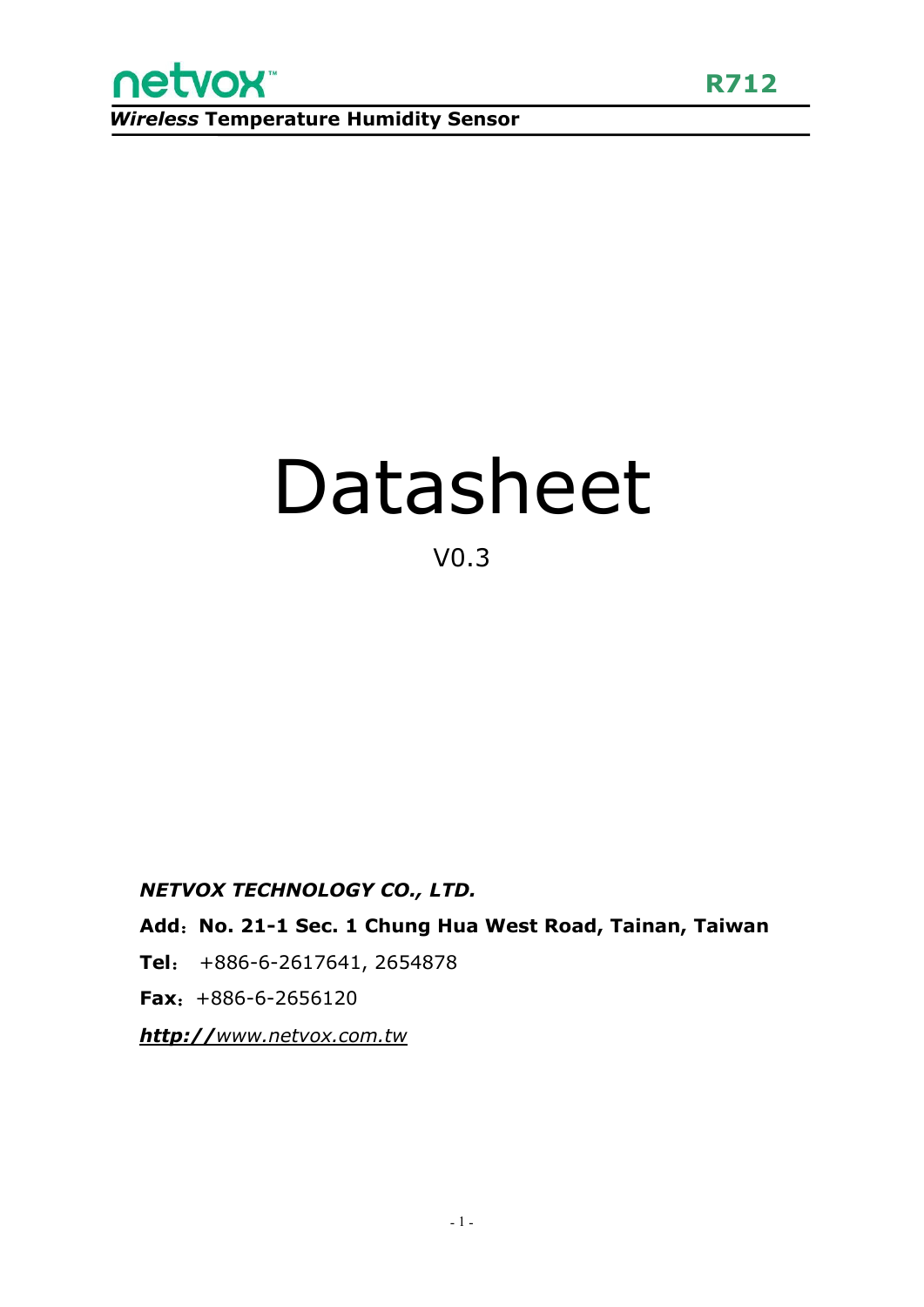

# Datasheet

### V0.3

#### *NETVOX TECHNOLOGY CO., LTD.*

**Add**:**No. 21-1 Sec. 1 Chung Hua West Road, Tainan, Taiwan**

**Tel**: +886-6-2617641, 2654878

**Fax**:+886-6-2656120

*http://[www.netvox.com.tw](http://www.netvox.com.tw)*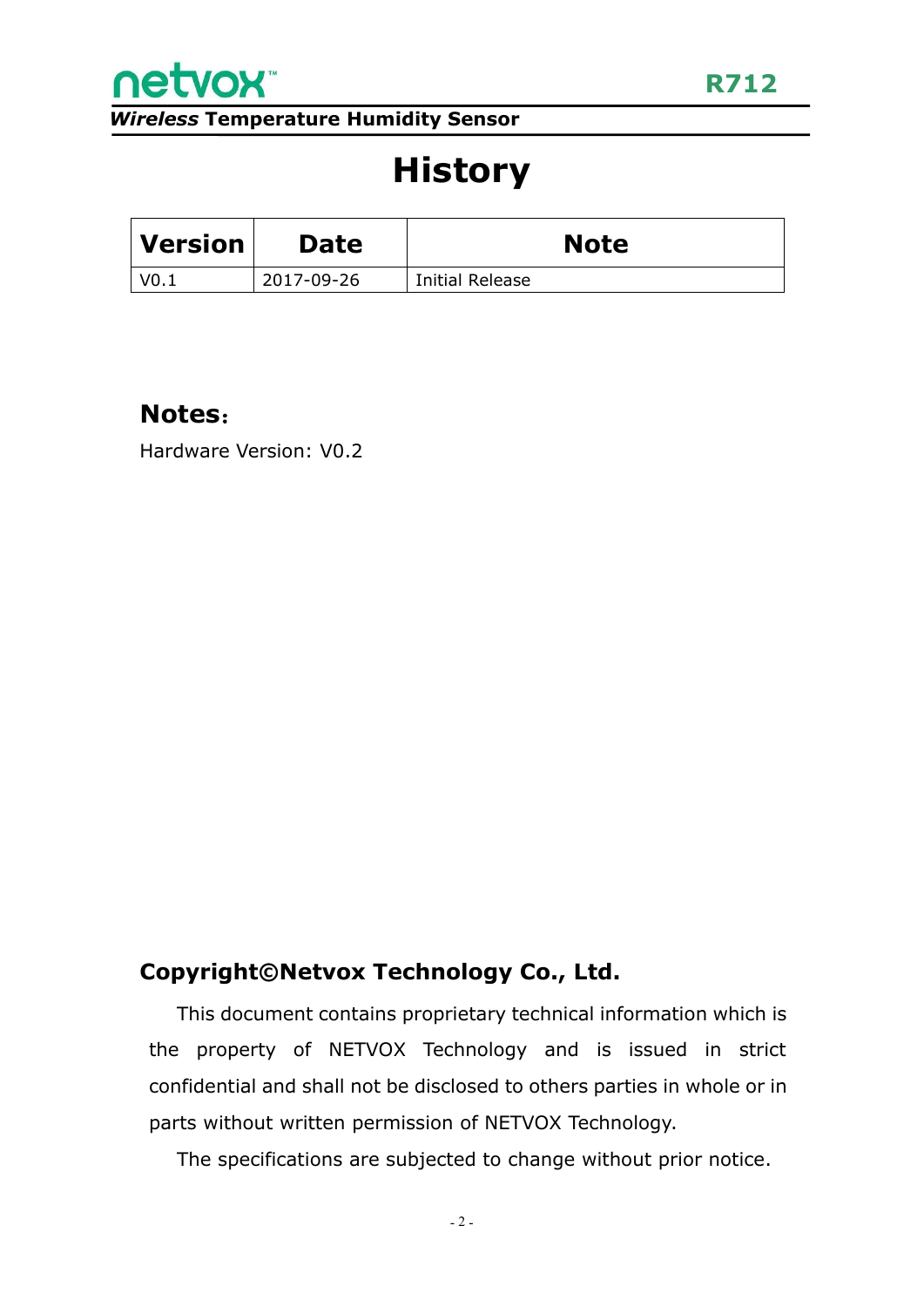

# **History**

| $\mid$ Version $\mid$ | <b>Date</b> | <b>Note</b>     |
|-----------------------|-------------|-----------------|
| V0.1                  | 2017-09-26  | Initial Release |

#### **Notes**:

Hardware Version: V0.2

#### **Copyright©Netvox Technology Co., Ltd.**

This document contains proprietary technical information which is the property of NETVOX Technology and is issued in strict confidential and shall not be disclosed to others parties in whole or in parts without written permission of NETVOX Technology.

The specifications are subjected to change without prior notice.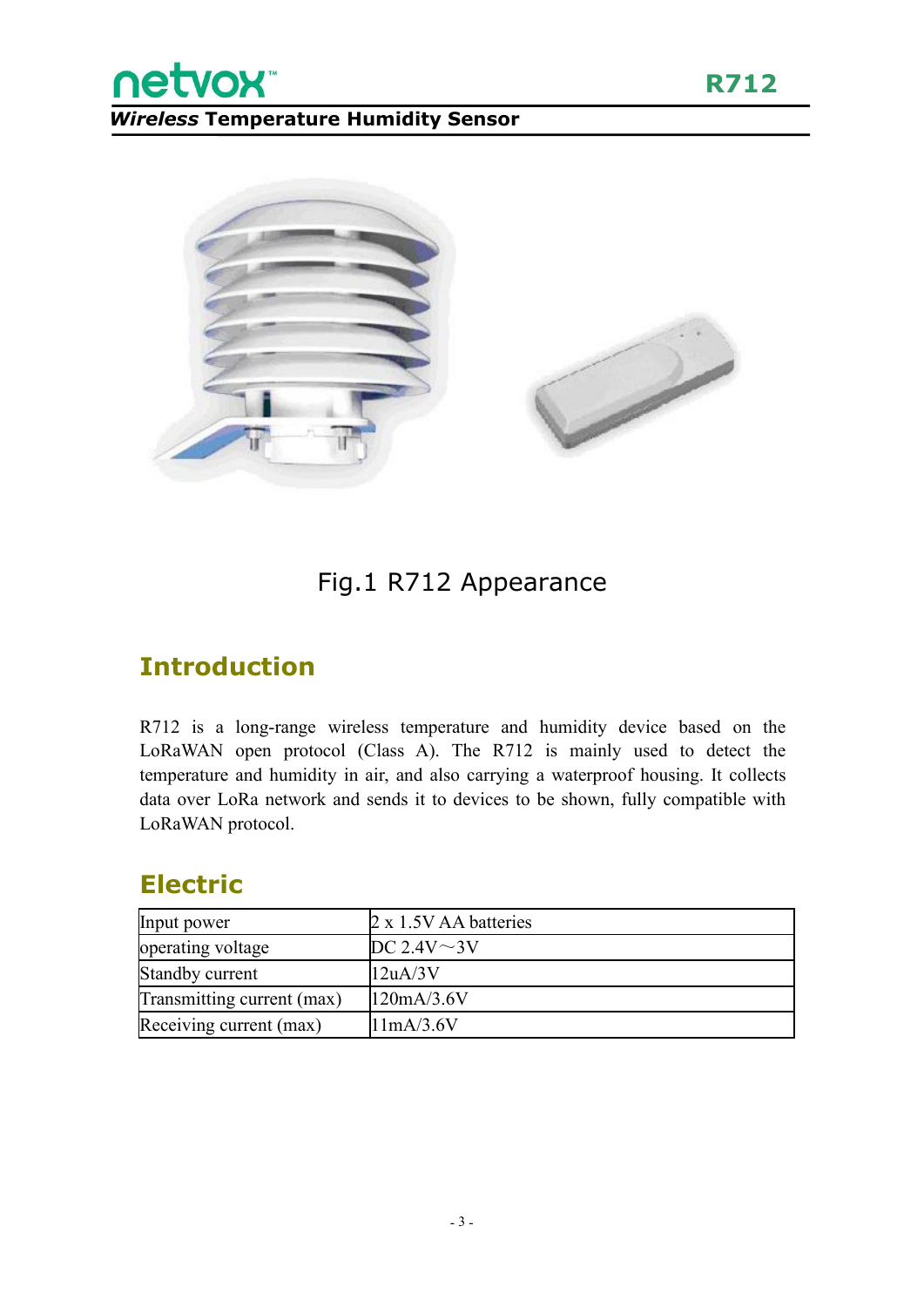netvox<sup>®</sup>



#### Fig.1 R712 Appearance

#### **Introduction**

R712 is a long-range wireless temperature and humidity device based on the LoRaWAN open protocol (Class A). The R712 is mainly used to detect the temperature and humidity in air, and also carrying a waterproof housing. It collects data over LoRa network and sends it to devices to be shown, fully compatible with LoRaWAN protocol.

#### **Electric**

| Input power                | $2 \times 1.5V$ AA batteries |
|----------------------------|------------------------------|
| operating voltage          | DC 2.4V $\sim$ 3V            |
| Standby current            | 12uA/3V                      |
| Transmitting current (max) | 120mA/3.6V                   |
| Receiving current (max)    | 11mA/3.6V                    |